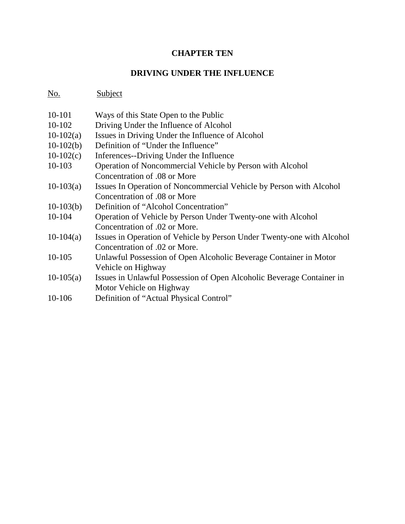## **CHAPTER TEN**

## **DRIVING UNDER THE INFLUENCE**

## No. Subject

| 10-101      | Ways of this State Open to the Public                                  |  |  |  |  |  |
|-------------|------------------------------------------------------------------------|--|--|--|--|--|
| 10-102      | Driving Under the Influence of Alcohol                                 |  |  |  |  |  |
| $10-102(a)$ | Issues in Driving Under the Influence of Alcohol                       |  |  |  |  |  |
| $10-102(b)$ | Definition of "Under the Influence"                                    |  |  |  |  |  |
| $10-102(c)$ | Inferences--Driving Under the Influence                                |  |  |  |  |  |
| 10-103      | Operation of Noncommercial Vehicle by Person with Alcohol              |  |  |  |  |  |
|             | Concentration of .08 or More                                           |  |  |  |  |  |
| $10-103(a)$ | Issues In Operation of Noncommercial Vehicle by Person with Alcohol    |  |  |  |  |  |
|             | Concentration of .08 or More                                           |  |  |  |  |  |
| $10-103(b)$ | Definition of "Alcohol Concentration"                                  |  |  |  |  |  |
| 10-104      | Operation of Vehicle by Person Under Twenty-one with Alcohol           |  |  |  |  |  |
|             | Concentration of .02 or More.                                          |  |  |  |  |  |
| $10-104(a)$ | Issues in Operation of Vehicle by Person Under Twenty-one with Alcohol |  |  |  |  |  |
|             | Concentration of .02 or More.                                          |  |  |  |  |  |
| 10-105      | Unlawful Possession of Open Alcoholic Beverage Container in Motor      |  |  |  |  |  |
|             | Vehicle on Highway                                                     |  |  |  |  |  |
| $10-105(a)$ | Issues in Unlawful Possession of Open Alcoholic Beverage Container in  |  |  |  |  |  |
|             | Motor Vehicle on Highway                                               |  |  |  |  |  |
| 10-106      | Definition of "Actual Physical Control"                                |  |  |  |  |  |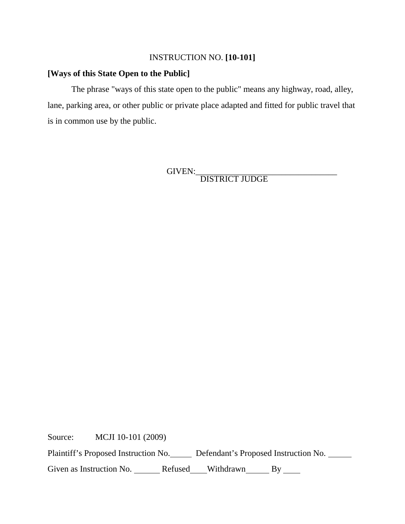#### INSTRUCTION NO. **[10-101]**

#### **[Ways of this State Open to the Public]**

The phrase "ways of this state open to the public" means any highway, road, alley, lane, parking area, or other public or private place adapted and fitted for public travel that is in common use by the public.

GIVEN:\_\_\_\_\_\_\_\_\_\_\_\_\_\_\_\_\_\_\_\_\_\_\_\_\_\_\_\_\_\_\_\_\_ DISTRICT JUDGE

Source: MCJI 10-101 (2009)

Plaintiff's Proposed Instruction No. Defendant's Proposed Instruction No.

Given as Instruction No. \_\_\_\_\_\_ Refused\_\_\_Withdrawn\_\_\_\_\_ By \_\_\_\_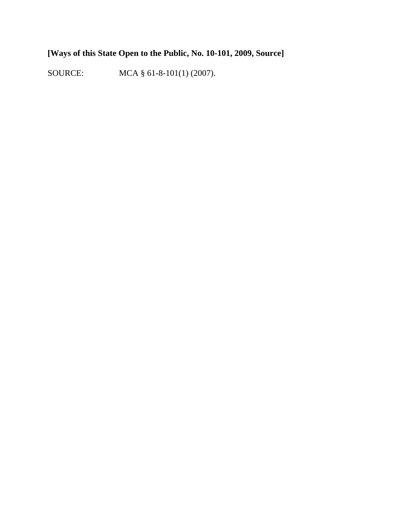# **[Ways of this State Open to the Public, No. 10-101, 2009, Source]**

SOURCE: MCA § 61-8-101(1) (2007).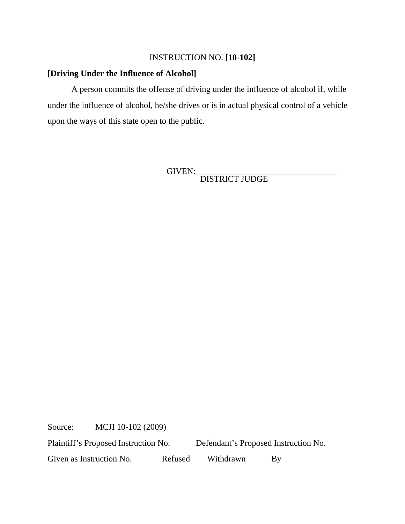#### INSTRUCTION NO. **[10-102]**

#### **[Driving Under the Influence of Alcohol]**

A person commits the offense of driving under the influence of alcohol if, while under the influence of alcohol, he/she drives or is in actual physical control of a vehicle upon the ways of this state open to the public.

GIVEN:\_\_\_\_\_\_\_\_\_\_\_\_\_\_\_\_\_\_\_\_\_\_\_\_\_\_\_\_\_\_\_\_\_ DISTRICT JUDGE

Source: MCJI 10-102 (2009)

Plaintiff's Proposed Instruction No. Defendant's Proposed Instruction No.

Given as Instruction No. \_\_\_\_\_\_\_\_ Refused \_\_\_\_\_Withdrawn \_\_\_\_\_\_\_ By \_\_\_\_\_\_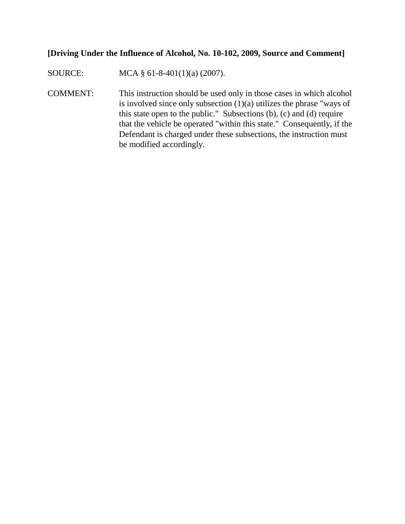#### **[Driving Under the Influence of Alcohol, No. 10-102, 2009, Source and Comment]**

SOURCE: MCA § 61-8-401(1)(a) (2007).

COMMENT: This instruction should be used only in those cases in which alcohol is involved since only subsection (1)(a) utilizes the phrase "ways of this state open to the public." Subsections (b), (c) and (d) require that the vehicle be operated "within this state." Consequently, if the Defendant is charged under these subsections, the instruction must be modified accordingly.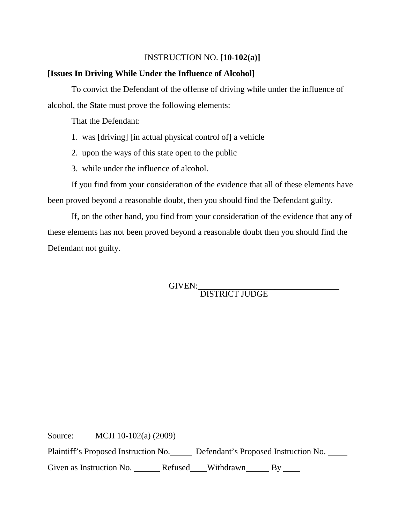#### INSTRUCTION NO. **[10-102(a)]**

#### **[Issues In Driving While Under the Influence of Alcohol]**

To convict the Defendant of the offense of driving while under the influence of alcohol, the State must prove the following elements:

That the Defendant:

- 1. was [driving] [in actual physical control of] a vehicle
- 2. upon the ways of this state open to the public
- 3. while under the influence of alcohol.

If you find from your consideration of the evidence that all of these elements have been proved beyond a reasonable doubt, then you should find the Defendant guilty.

If, on the other hand, you find from your consideration of the evidence that any of these elements has not been proved beyond a reasonable doubt then you should find the Defendant not guilty.

GIVEN:<br>DISTRICT JUDGE

Source: MCJI 10-102(a) (2009)

Plaintiff's Proposed Instruction No. Defendant's Proposed Instruction No.

Given as Instruction No. \_\_\_\_\_\_ Refused\_\_\_Withdrawn\_\_\_\_\_ By \_\_\_\_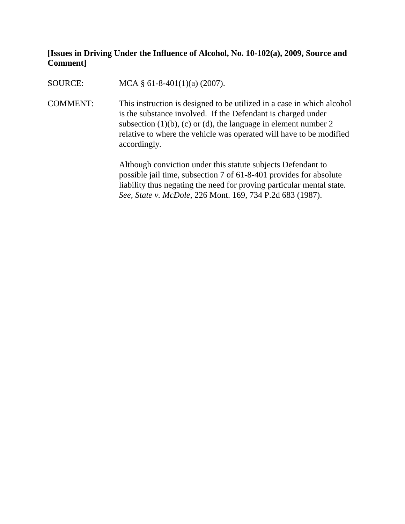## **[Issues in Driving Under the Influence of Alcohol, No. 10-102(a), 2009, Source and Comment]**

SOURCE: MCA § 61-8-401(1)(a) (2007).

COMMENT: This instruction is designed to be utilized in a case in which alcohol is the substance involved. If the Defendant is charged under subsection  $(1)(b)$ ,  $(c)$  or  $(d)$ , the language in element number 2 relative to where the vehicle was operated will have to be modified accordingly.

> Although conviction under this statute subjects Defendant to possible jail time, subsection 7 of 61-8-401 provides for absolute liability thus negating the need for proving particular mental state. *See, State v. McDole*, 226 Mont. 169, 734 P.2d 683 (1987).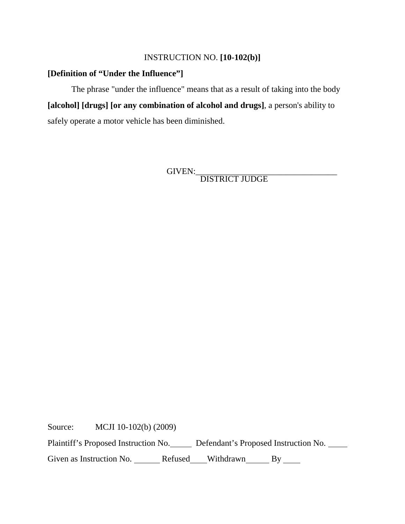#### INSTRUCTION NO. **[10-102(b)]**

#### **[Definition of "Under the Influence"]**

The phrase "under the influence" means that as a result of taking into the body **[alcohol] [drugs] [or any combination of alcohol and drugs]**, a person's ability to safely operate a motor vehicle has been diminished.

GIVEN:\_\_\_\_\_\_\_\_\_\_\_\_\_\_\_\_\_\_\_\_\_\_\_\_\_\_\_\_\_\_\_\_\_ DISTRICT JUDGE

Source: MCJI 10-102(b) (2009)

Plaintiff's Proposed Instruction No. Defendant's Proposed Instruction No.

Given as Instruction No. \_\_\_\_\_\_ Refused\_\_\_\_Withdrawn\_\_\_\_\_\_ By \_\_\_\_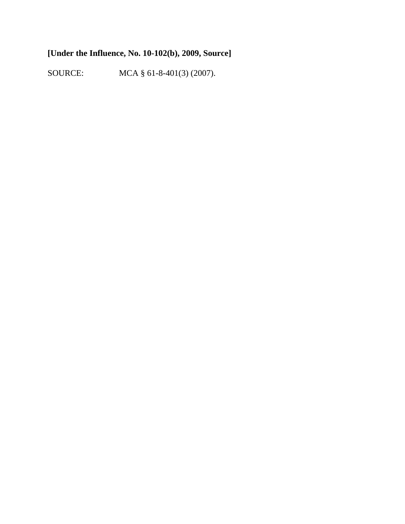# **[Under the Influence, No. 10-102(b), 2009, Source]**

SOURCE: MCA § 61-8-401(3) (2007).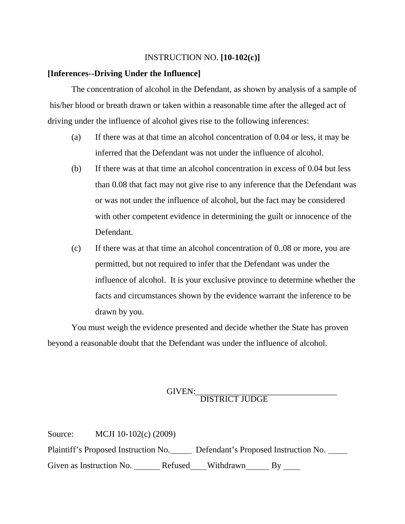#### INSTRUCTION NO. **[10-102(c)]**

#### **[Inferences--Driving Under the Influence]**

The concentration of alcohol in the Defendant, as shown by analysis of a sample of his/her blood or breath drawn or taken within a reasonable time after the alleged act of driving under the influence of alcohol gives rise to the following inferences:

- (a) If there was at that time an alcohol concentration of 0.04 or less, it may be inferred that the Defendant was not under the influence of alcohol.
- (b) If there was at that time an alcohol concentration in excess of 0.04 but less than 0.08 that fact may not give rise to any inference that the Defendant was or was not under the influence of alcohol, but the fact may be considered with other competent evidence in determining the guilt or innocence of the Defendant.
- (c) If there was at that time an alcohol concentration of 0..08 or more, you are permitted, but not required to infer that the Defendant was under the influence of alcohol. It is your exclusive province to determine whether the facts and circumstances shown by the evidence warrant the inference to be drawn by you.

You must weigh the evidence presented and decide whether the State has proven beyond a reasonable doubt that the Defendant was under the influence of alcohol.

# GIVEN:\_\_\_\_\_\_\_\_\_\_\_\_\_\_\_\_\_\_\_\_\_\_\_\_\_\_\_\_\_\_\_\_\_ DISTRICT JUDGE

| Source:                  | MCJI 10-102(c) $(2009)$              |         |                                      |    |  |
|--------------------------|--------------------------------------|---------|--------------------------------------|----|--|
|                          | Plaintiff's Proposed Instruction No. |         | Defendant's Proposed Instruction No. |    |  |
| Given as Instruction No. |                                      | Refused | Withdrawn                            | Bv |  |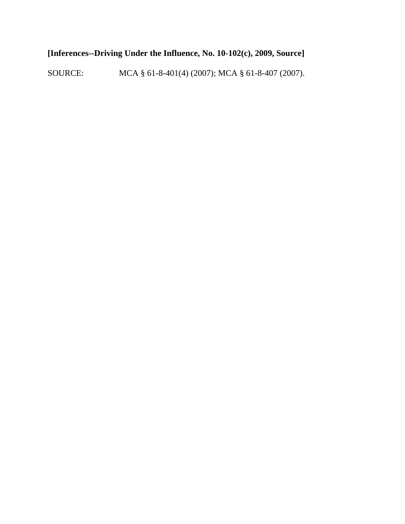# **[Inferences--Driving Under the Influence, No. 10-102(c), 2009, Source]**

SOURCE: MCA § 61-8-401(4) (2007); MCA § 61-8-407 (2007).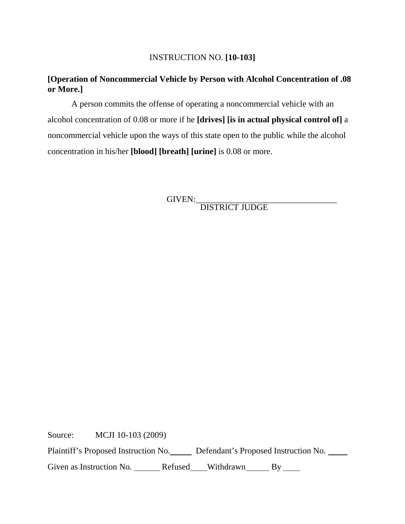## INSTRUCTION NO. **[10-103]**

## **[Operation of Noncommercial Vehicle by Person with Alcohol Concentration of .08 or More.]**

A person commits the offense of operating a noncommercial vehicle with an alcohol concentration of 0.08 or more if he **[drives] [is in actual physical control of]** a noncommercial vehicle upon the ways of this state open to the public while the alcohol concentration in his/her **[blood] [breath] [urine]** is 0.08 or more.

GIVEN:\_\_\_\_\_\_\_\_\_\_\_\_\_\_\_\_\_\_\_\_\_\_\_\_\_\_\_\_\_\_\_\_\_ DISTRICT JUDGE

Source: MCJI 10-103 (2009)

Plaintiff's Proposed Instruction No. Defendant's Proposed Instruction No.

Given as Instruction No. \_\_\_\_\_\_ Refused\_\_\_Withdrawn\_\_\_\_\_ By \_\_\_\_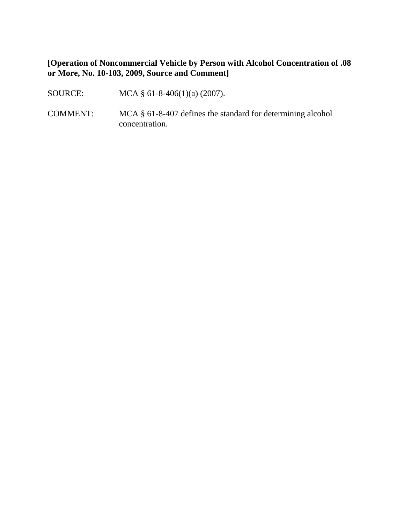#### **[Operation of Noncommercial Vehicle by Person with Alcohol Concentration of .08 or More, No. 10-103, 2009, Source and Comment]**

- SOURCE: MCA § 61-8-406(1)(a) (2007).
- COMMENT: MCA § 61-8-407 defines the standard for determining alcohol concentration.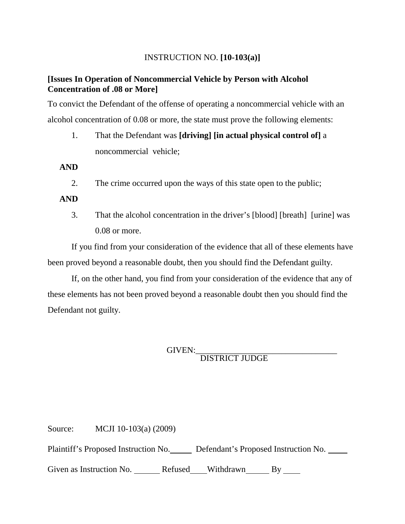#### INSTRUCTION NO. **[10-103(a)]**

#### **[Issues In Operation of Noncommercial Vehicle by Person with Alcohol Concentration of .08 or More]**

To convict the Defendant of the offense of operating a noncommercial vehicle with an alcohol concentration of 0.08 or more, the state must prove the following elements:

1. That the Defendant was **[driving] [in actual physical control of]** a noncommercial vehicle;

**AND**

2. The crime occurred upon the ways of this state open to the public;

#### **AND**

3. That the alcohol concentration in the driver's [blood] [breath] [urine] was 0.08 or more.

If you find from your consideration of the evidence that all of these elements have been proved beyond a reasonable doubt, then you should find the Defendant guilty.

If, on the other hand, you find from your consideration of the evidence that any of these elements has not been proved beyond a reasonable doubt then you should find the Defendant not guilty.

GIVEN:\_\_\_\_\_\_\_\_\_\_\_\_\_\_\_\_\_\_\_\_\_\_\_\_\_\_\_\_\_\_\_\_\_ DISTRICT JUDGE

Source: MCJI 10-103(a) (2009)

Plaintiff's Proposed Instruction No. Defendant's Proposed Instruction No.

Given as Instruction No. \_\_\_\_\_\_\_ Refused \_\_\_\_Withdrawn \_\_\_\_\_\_ By \_\_\_\_\_\_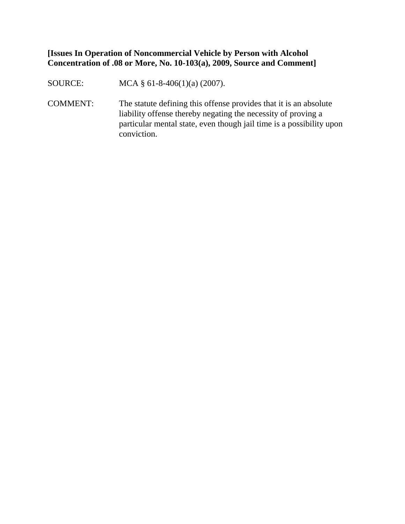**[Issues In Operation of Noncommercial Vehicle by Person with Alcohol Concentration of .08 or More, No. 10-103(a), 2009, Source and Comment]**

SOURCE: MCA § 61-8-406(1)(a) (2007).

COMMENT: The statute defining this offense provides that it is an absolute liability offense thereby negating the necessity of proving a particular mental state, even though jail time is a possibility upon conviction.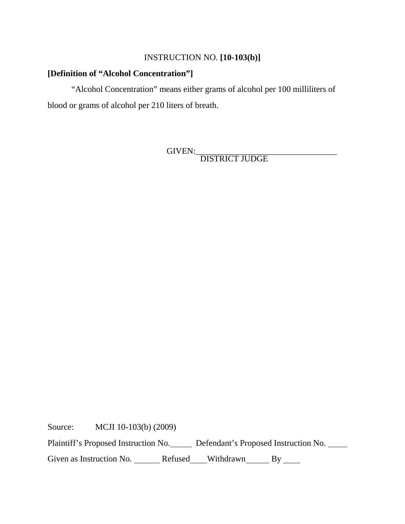## INSTRUCTION NO. **[10-103(b)]**

#### **[Definition of "Alcohol Concentration"]**

"Alcohol Concentration" means either grams of alcohol per 100 milliliters of blood or grams of alcohol per 210 liters of breath.

GIVEN:\_\_\_\_\_\_\_\_\_\_\_\_\_\_\_\_\_\_\_\_\_\_\_\_\_\_\_\_\_\_\_\_\_ DISTRICT JUDGE

Source: MCJI 10-103(b) (2009)

Plaintiff's Proposed Instruction No. Defendant's Proposed Instruction No.

Given as Instruction No. \_\_\_\_\_\_ Refused\_\_\_Withdrawn\_\_\_\_\_ By \_\_\_\_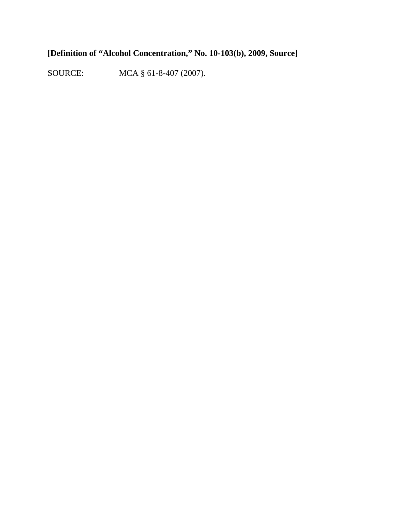# **[Definition of "Alcohol Concentration," No. 10-103(b), 2009, Source]**

SOURCE: MCA § 61-8-407 (2007).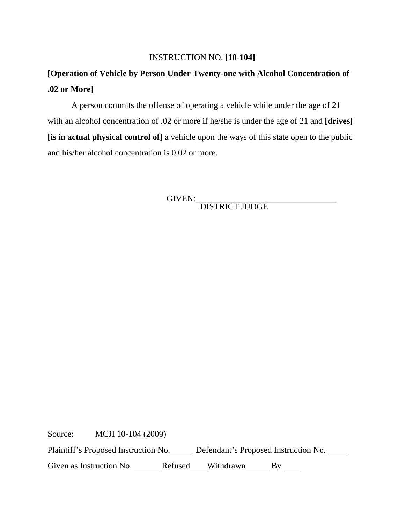#### INSTRUCTION NO. **[10-104]**

# **[Operation of Vehicle by Person Under Twenty-one with Alcohol Concentration of .02 or More]**

A person commits the offense of operating a vehicle while under the age of 21 with an alcohol concentration of .02 or more if he/she is under the age of 21 and **[drives] [is in actual physical control of]** a vehicle upon the ways of this state open to the public and his/her alcohol concentration is 0.02 or more.

GIVEN:\_\_\_\_\_\_\_\_\_\_\_\_\_\_\_\_\_\_\_\_\_\_\_\_\_\_\_\_\_\_\_\_\_ DISTRICT JUDGE

Source: MCJI 10-104 (2009)

Plaintiff's Proposed Instruction No. Defendant's Proposed Instruction No.

Given as Instruction No. \_\_\_\_\_\_\_ Refused \_\_\_\_Withdrawn \_\_\_\_\_\_ By \_\_\_\_\_\_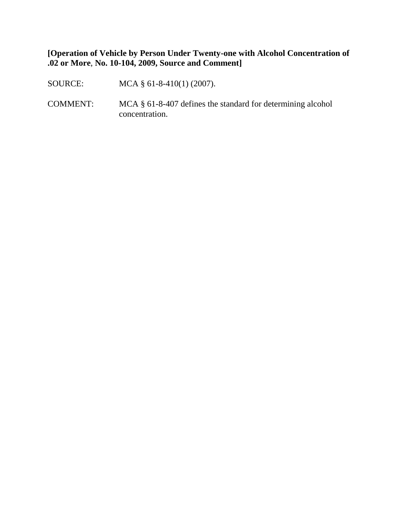**[Operation of Vehicle by Person Under Twenty-one with Alcohol Concentration of .02 or More**, **No. 10-104, 2009, Source and Comment]**

SOURCE: MCA § 61-8-410(1) (2007).

COMMENT: MCA § 61-8-407 defines the standard for determining alcohol concentration.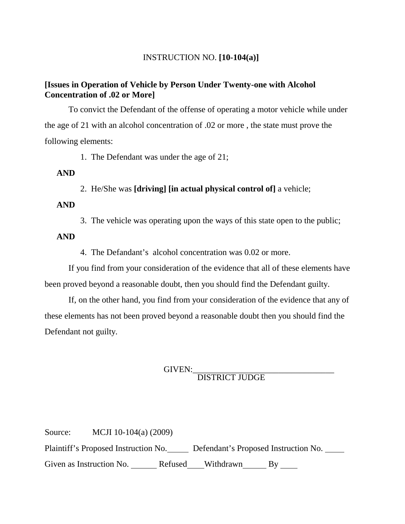#### INSTRUCTION NO. **[10-104(a)]**

#### **[Issues in Operation of Vehicle by Person Under Twenty-one with Alcohol Concentration of .02 or More]**

To convict the Defendant of the offense of operating a motor vehicle while under the age of 21 with an alcohol concentration of .02 or more , the state must prove the following elements:

1. The Defendant was under the age of 21;

**AND**

2. He/She was **[driving] [in actual physical control of]** a vehicle;

**AND**

3. The vehicle was operating upon the ways of this state open to the public;

**AND**

4. The Defandant's alcohol concentration was 0.02 or more.

If you find from your consideration of the evidence that all of these elements have been proved beyond a reasonable doubt, then you should find the Defendant guilty.

If, on the other hand, you find from your consideration of the evidence that any of these elements has not been proved beyond a reasonable doubt then you should find the Defendant not guilty.

GIVEN:\_\_\_\_\_\_\_\_\_\_\_\_\_\_\_\_\_\_\_\_\_\_\_\_\_\_\_\_\_\_\_\_\_ DISTRICT JUDGE

Source: MCJI 10-104(a) (2009) Plaintiff's Proposed Instruction No. Defendant's Proposed Instruction No. Given as Instruction No. \_\_\_\_\_\_ Refused\_\_\_Withdrawn\_\_\_\_\_ By \_\_\_\_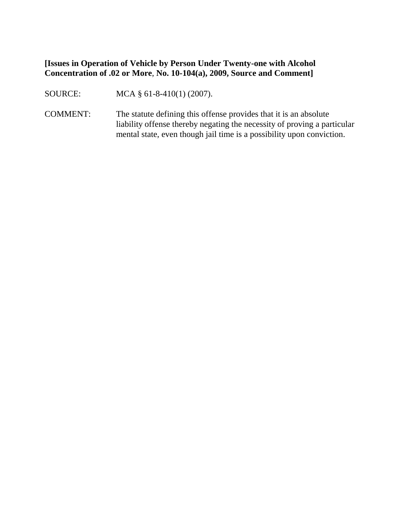#### **[Issues in Operation of Vehicle by Person Under Twenty-one with Alcohol Concentration of .02 or More**, **No. 10-104(a), 2009, Source and Comment]**

SOURCE: MCA § 61-8-410(1) (2007).

COMMENT: The statute defining this offense provides that it is an absolute liability offense thereby negating the necessity of proving a particular mental state, even though jail time is a possibility upon conviction.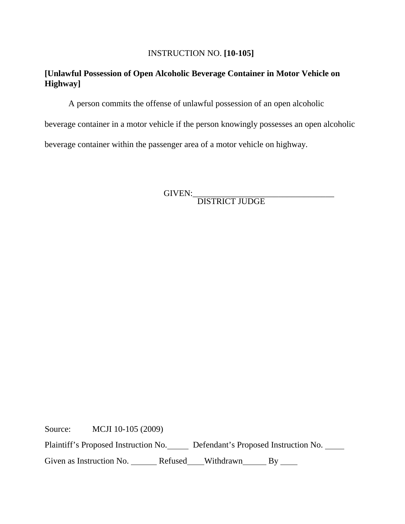#### INSTRUCTION NO. **[10-105]**

#### **[Unlawful Possession of Open Alcoholic Beverage Container in Motor Vehicle on Highway]**

A person commits the offense of unlawful possession of an open alcoholic

beverage container in a motor vehicle if the person knowingly possesses an open alcoholic

beverage container within the passenger area of a motor vehicle on highway.

GIVEN:\_\_\_\_\_\_\_\_\_\_\_\_\_\_\_\_\_\_\_\_\_\_\_\_\_\_\_\_\_\_\_\_\_ DISTRICT JUDGE

Source: MCJI 10-105 (2009)

Plaintiff's Proposed Instruction No. Defendant's Proposed Instruction No.

Given as Instruction No. \_\_\_\_\_\_\_ Refused\_\_\_\_Withdrawn\_\_\_\_\_\_\_ By \_\_\_\_\_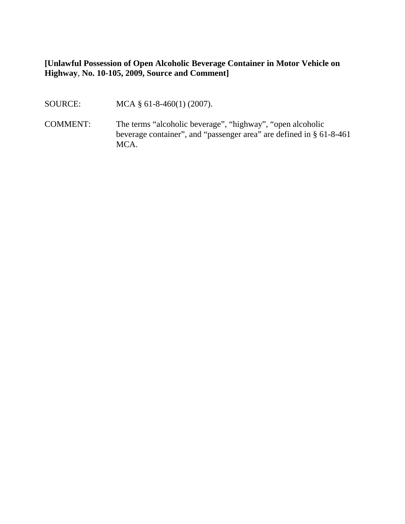**[Unlawful Possession of Open Alcoholic Beverage Container in Motor Vehicle on Highway**, **No. 10-105, 2009, Source and Comment]**

- SOURCE: MCA § 61-8-460(1) (2007).
- COMMENT: The terms "alcoholic beverage", "highway", "open alcoholic beverage container", and "passenger area" are defined in § 61-8-461 MCA.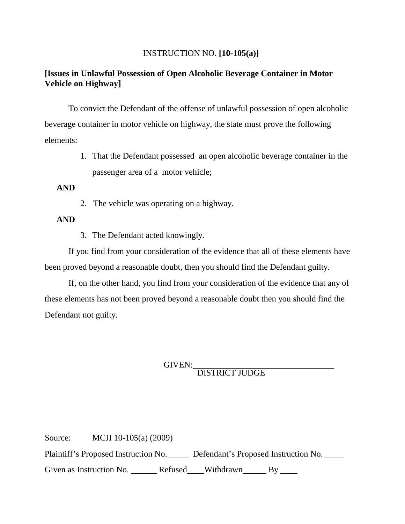#### INSTRUCTION NO. **[10-105(a)]**

## **[Issues in Unlawful Possession of Open Alcoholic Beverage Container in Motor Vehicle on Highway]**

To convict the Defendant of the offense of unlawful possession of open alcoholic beverage container in motor vehicle on highway, the state must prove the following elements:

> 1. That the Defendant possessed an open alcoholic beverage container in the passenger area of a motor vehicle;

#### **AND**

2. The vehicle was operating on a highway.

#### **AND**

3. The Defendant acted knowingly.

If you find from your consideration of the evidence that all of these elements have been proved beyond a reasonable doubt, then you should find the Defendant guilty.

If, on the other hand, you find from your consideration of the evidence that any of these elements has not been proved beyond a reasonable doubt then you should find the Defendant not guilty.

GIVEN:\_\_\_\_\_\_\_\_\_\_\_\_\_\_\_\_\_\_\_\_\_\_\_\_\_\_\_\_\_\_\_\_\_ DISTRICT JUDGE

Source: MCJI 10-105(a) (2009) Plaintiff's Proposed Instruction No. Defendant's Proposed Instruction No. Given as Instruction No. \_\_\_\_\_\_ Refused\_\_\_Withdrawn\_\_\_\_\_ By \_\_\_\_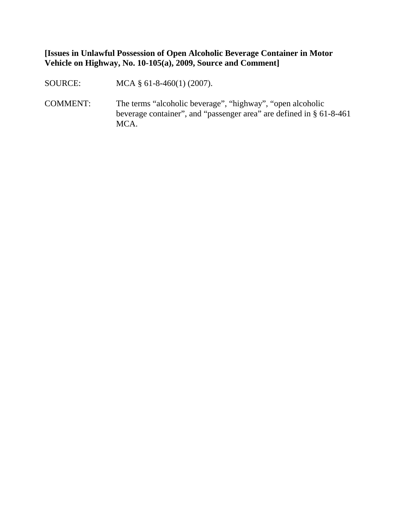**[Issues in Unlawful Possession of Open Alcoholic Beverage Container in Motor Vehicle on Highway, No. 10-105(a), 2009, Source and Comment]**

SOURCE: MCA § 61-8-460(1) (2007).

COMMENT: The terms "alcoholic beverage", "highway", "open alcoholic beverage container", and "passenger area" are defined in § 61-8-461 MCA.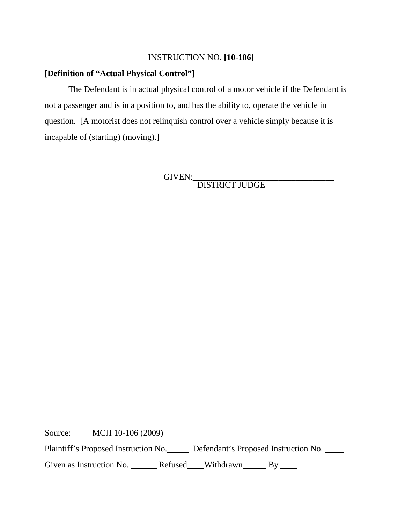#### INSTRUCTION NO. **[10-106]**

#### **[Definition of "Actual Physical Control"]**

The Defendant is in actual physical control of a motor vehicle if the Defendant is not a passenger and is in a position to, and has the ability to, operate the vehicle in question. [A motorist does not relinquish control over a vehicle simply because it is incapable of (starting) (moving).]

GIVEN:\_\_\_\_\_\_\_\_\_\_\_\_\_\_\_\_\_\_\_\_\_\_\_\_\_\_\_\_\_\_\_\_\_ DISTRICT JUDGE

Source: MCJI 10-106 (2009)

Plaintiff's Proposed Instruction No. Defendant's Proposed Instruction No.

Given as Instruction No. \_\_\_\_\_\_ Refused\_\_\_\_Withdrawn\_\_\_\_\_\_ By \_\_\_\_